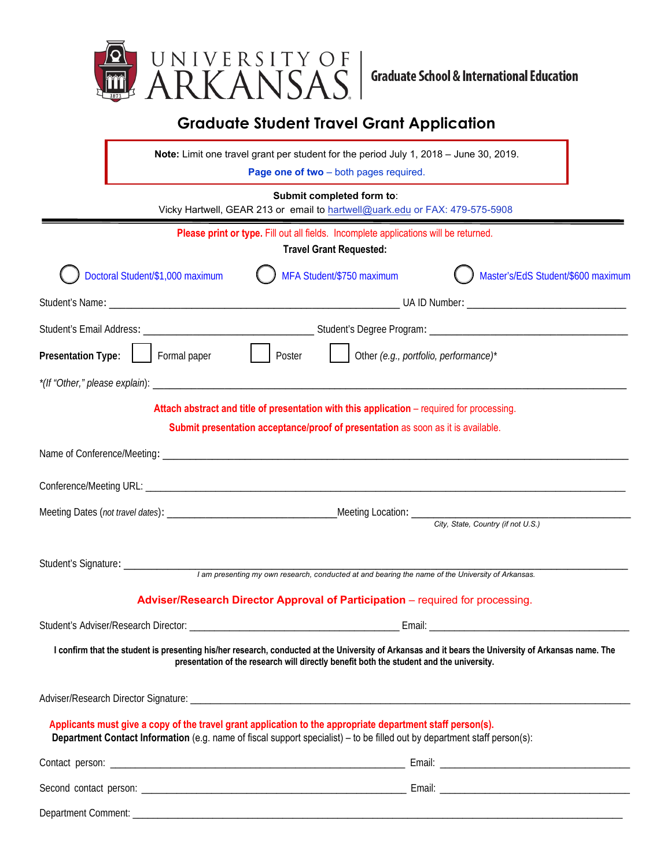

## **Graduate Student Travel Grant Application**

**Note:** Limit one travel grant per student for the period July 1, 2018 – June 30, 2019.

**Page one of two** – both pages required.

## **Submit completed form to**:

Vicky Hartwell, GEAR 213 or email to hartwell@uark.edu or FAX: 479-575-5908

|                                                                                                                                                                                                                                                | Please print or type. Fill out all fields. Incomplete applications will be returned.<br><b>Travel Grant Requested:</b> |                                    |  |  |  |
|------------------------------------------------------------------------------------------------------------------------------------------------------------------------------------------------------------------------------------------------|------------------------------------------------------------------------------------------------------------------------|------------------------------------|--|--|--|
| Doctoral Student/\$1,000 maximum                                                                                                                                                                                                               | MFA Student/\$750 maximum                                                                                              | Master's/EdS Student/\$600 maximum |  |  |  |
|                                                                                                                                                                                                                                                |                                                                                                                        |                                    |  |  |  |
|                                                                                                                                                                                                                                                |                                                                                                                        |                                    |  |  |  |
| $\vert$ $\vert$ Poster<br>Presentation Type:<br>  Formal paper                                                                                                                                                                                 | $\Box$ Other (e.g., portfolio, performance)*                                                                           |                                    |  |  |  |
|                                                                                                                                                                                                                                                |                                                                                                                        |                                    |  |  |  |
| Attach abstract and title of presentation with this application – required for processing.                                                                                                                                                     |                                                                                                                        |                                    |  |  |  |
|                                                                                                                                                                                                                                                | Submit presentation acceptance/proof of presentation as soon as it is available.                                       |                                    |  |  |  |
|                                                                                                                                                                                                                                                |                                                                                                                        |                                    |  |  |  |
|                                                                                                                                                                                                                                                |                                                                                                                        |                                    |  |  |  |
|                                                                                                                                                                                                                                                |                                                                                                                        |                                    |  |  |  |
|                                                                                                                                                                                                                                                |                                                                                                                        | City, State, Country (if not U.S.) |  |  |  |
| Student's Signature: _______________                                                                                                                                                                                                           |                                                                                                                        |                                    |  |  |  |
|                                                                                                                                                                                                                                                | I am presenting my own research, conducted at and bearing the name of the University of Arkansas.                      |                                    |  |  |  |
| Adviser/Research Director Approval of Participation - required for processing.                                                                                                                                                                 |                                                                                                                        |                                    |  |  |  |
|                                                                                                                                                                                                                                                |                                                                                                                        |                                    |  |  |  |
| I confirm that the student is presenting his/her research, conducted at the University of Arkansas and it bears the University of Arkansas name. The                                                                                           | presentation of the research will directly benefit both the student and the university.                                |                                    |  |  |  |
|                                                                                                                                                                                                                                                |                                                                                                                        |                                    |  |  |  |
| Applicants must give a copy of the travel grant application to the appropriate department staff person(s).<br><b>Department Contact Information</b> (e.g. name of fiscal support specialist) – to be filled out by department staff person(s): |                                                                                                                        |                                    |  |  |  |
|                                                                                                                                                                                                                                                |                                                                                                                        |                                    |  |  |  |
|                                                                                                                                                                                                                                                |                                                                                                                        |                                    |  |  |  |
|                                                                                                                                                                                                                                                |                                                                                                                        |                                    |  |  |  |